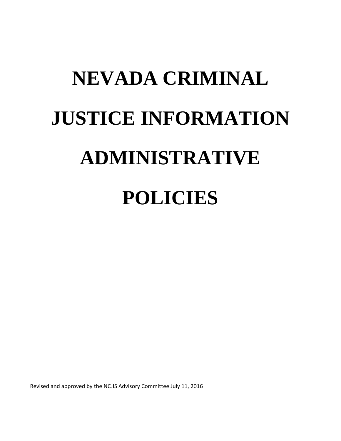# **NEVADA CRIMINAL JUSTICE INFORMATION ADMINISTRATIVE POLICIES**

Revised and approved by the NCJIS Advisory Committee July 11, 2016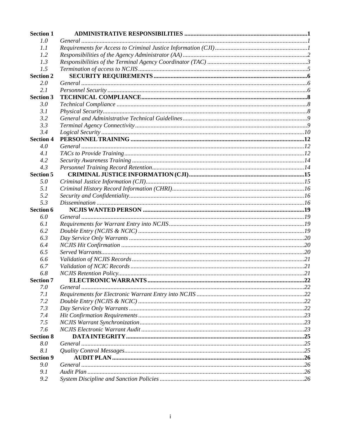| <b>Section 1</b> |         |  |
|------------------|---------|--|
| 1.0              | General |  |
| 1.1              |         |  |
| 1.2              |         |  |
| 1.3              |         |  |
| 1.5              |         |  |
| <b>Section 2</b> |         |  |
| 2.0              |         |  |
| 2.1              |         |  |
| <b>Section 3</b> |         |  |
| 3.0              |         |  |
| 3.1              |         |  |
| 3.2              |         |  |
| 3.3              |         |  |
| 3.4              |         |  |
| <b>Section 4</b> |         |  |
| 4.0              |         |  |
| 4.1              |         |  |
| 4.2              |         |  |
| 4.3              |         |  |
| <b>Section 5</b> |         |  |
| 5.0              |         |  |
| 5.1              |         |  |
| 5.2              |         |  |
| 5.3              |         |  |
| <b>Section 6</b> |         |  |
| 6.0              |         |  |
| 6.1              |         |  |
| 6.2              |         |  |
| 6.3              |         |  |
| 6.4              |         |  |
| 6.5              |         |  |
| 6.6              |         |  |
| 6.7              |         |  |
| 6.8              |         |  |
| <b>Section 7</b> |         |  |
| 7.0              |         |  |
| 7.1              |         |  |
| 7.2              |         |  |
| 7.3              |         |  |
| 7.4              |         |  |
| 7.5              |         |  |
| 7.6              |         |  |
| <b>Section 8</b> |         |  |
| 8.0              |         |  |
| 8.1              |         |  |
| <b>Section 9</b> |         |  |
| 9.0              |         |  |
|                  |         |  |
| 9.1<br>9.2       |         |  |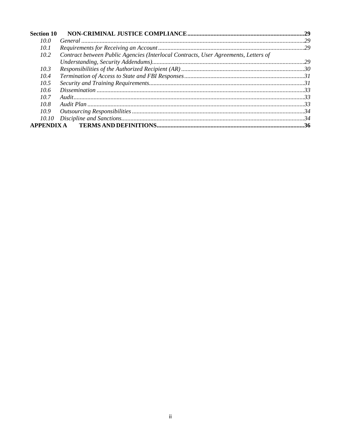| <b>Section 10</b> |                                                                                     |  |
|-------------------|-------------------------------------------------------------------------------------|--|
| 10.0              |                                                                                     |  |
| 10.1              |                                                                                     |  |
| 10.2              | Contract between Public Agencies (Interlocal Contracts, User Agreements, Letters of |  |
|                   |                                                                                     |  |
| 10.3              |                                                                                     |  |
| 10.4              |                                                                                     |  |
| 10.5              |                                                                                     |  |
| 10.6              |                                                                                     |  |
| 10.7              |                                                                                     |  |
| 10.8              |                                                                                     |  |
| 10.9              |                                                                                     |  |
| 10.10             |                                                                                     |  |
| <b>APPENDIX A</b> |                                                                                     |  |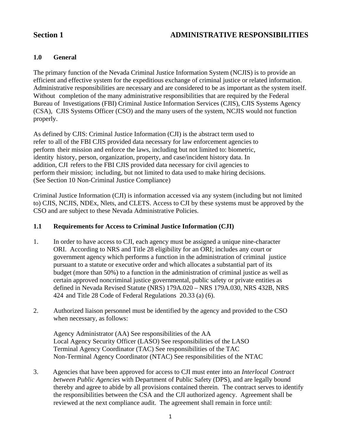# Section 1 ADMINISTRATIVE RESPONSIBILITIES

#### **1.0 General**

The primary function of the Nevada Criminal Justice Information System (NCJIS) is to provide an efficient and effective system for the expeditious exchange of criminal justice or related information. Administrative responsibilities are necessary and are considered to be as important as the system itself. Without completion of the many administrative responsibilities that are required by the Federal Bureau of Investigations (FBI) Criminal Justice Information Services (CJIS), CJIS Systems Agency (CSA), CJIS Systems Officer (CSO) and the many users of the system, NCJIS would not function properly.

As defined by CJIS: Criminal Justice Information (CJI) is the abstract term used to refer to all of the FBI CJIS provided data necessary for law enforcement agencies to perform their mission and enforce the laws, including but not limited to: biometric, identity history, person, organization, property, and case/incident history data. In addition, CJI refers to the FBI CJIS provided data necessary for civil agencies to perform their mission; including, but not limited to data used to make hiring decisions. (See Section 10 Non-Criminal Justice Compliance)

Criminal Justice Information (CJI) is information accessed via any system (including but not limited to) CJIS, NCJIS, NDEx, Nlets, and CLETS. Access to CJI by these systems must be approved by the CSO and are subject to these Nevada Administrative Policies.

#### **1.1 Requirements for Access to Criminal Justice Information (CJI)**

- 1. In order to have access to CJI, each agency must be assigned a unique nine-character ORI. According to NRS and Title 28 eligibility for an ORI; includes any court or government agency which performs a function in the administration of criminal justice pursuant to a statute or executive order and which allocates a substantial part of its budget (more than 50%) to a function in the administration of criminal justice as well as certain approved noncriminal justice governmental, public safety or private entities as defined in Nevada Revised Statute (NRS) 179A.020 – NRS 179A.030, NRS 432B, NRS 424 and Title 28 Code of Federal Regulations 20.33 (a) (6).
- 2. Authorized liaison personnel must be identified by the agency and provided to the CSO when necessary, as follows:

 Agency Administrator (AA) See responsibilities of the AA Local Agency Security Officer (LASO) See responsibilities of the LASO Terminal Agency Coordinator (TAC) See responsibilities of the TAC Non-Terminal Agency Coordinator (NTAC) See responsibilities of the NTAC

3. Agencies that have been approved for access to CJI must enter into an *Interlocal Contract between Public Agencies* with Department of Public Safety (DPS), and are legally bound thereby and agree to abide by all provisions contained therein. The contract serves to identify the responsibilities between the CSA and the CJI authorized agency. Agreement shall be reviewed at the next compliance audit. The agreement shall remain in force until: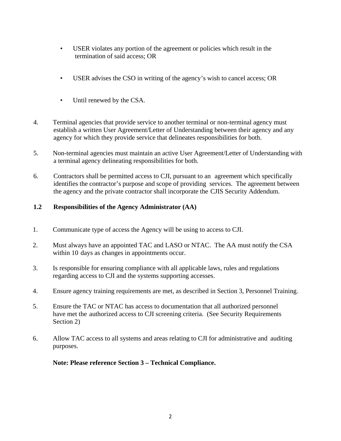- USER violates any portion of the agreement or policies which result in the termination of said access; OR
- USER advises the CSO in writing of the agency's wish to cancel access; OR
- Until renewed by the CSA.
- 4. Terminal agencies that provide service to another terminal or non-terminal agency must establish a written User Agreement/Letter of Understanding between their agency and any agency for which they provide service that delineates responsibilities for both.
- 5. Non-terminal agencies must maintain an active User Agreement/Letter of Understanding with a terminal agency delineating responsibilities for both.
- 6. Contractors shall be permitted access to CJI, pursuant to an agreement which specifically identifies the contractor's purpose and scope of providing services. The agreement between the agency and the private contractor shall incorporate the CJIS Security Addendum.

### **1.2 Responsibilities of the Agency Administrator (AA)**

- 1. Communicate type of access the Agency will be using to access to CJI.
- 2. Must always have an appointed TAC and LASO or NTAC. The AA must notify the CSA within 10 days as changes in appointments occur.
- 3. Is responsible for ensuring compliance with all applicable laws, rules and regulations regarding access to CJI and the systems supporting accesses.
- 4. Ensure agency training requirements are met, as described in Section 3, Personnel Training.
- 5. Ensure the TAC or NTAC has access to documentation that all authorized personnel have met the authorized access to CJI screening criteria. (See Security Requirements Section 2)
- 6. Allow TAC access to all systems and areas relating to CJI for administrative and auditing purposes.

**Note: Please reference Section 3 – Technical Compliance.**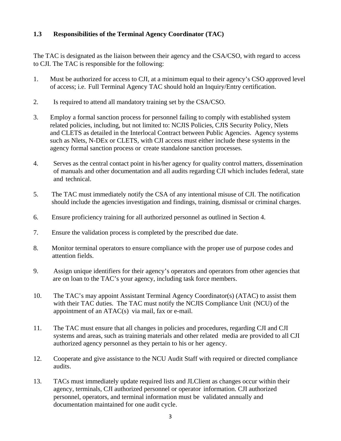#### **1.3 Responsibilities of the Terminal Agency Coordinator (TAC)**

The TAC is designated as the liaison between their agency and the CSA/CSO, with regard to access to CJI. The TAC is responsible for the following:

- 1. Must be authorized for access to CJI, at a minimum equal to their agency's CSO approved level of access; i.e. Full Terminal Agency TAC should hold an Inquiry/Entry certification.
- 2. Is required to attend all mandatory training set by the CSA/CSO.
- 3. Employ a formal sanction process for personnel failing to comply with established system related policies, including, but not limited to: NCJIS Policies, CJIS Security Policy, Nlets and CLETS as detailed in the Interlocal Contract between Public Agencies. Agency systems such as Nlets, N-DEx or CLETS, with CJI access must either include these systems in the agency formal sanction process or create standalone sanction processes.
- 4. Serves as the central contact point in his/her agency for quality control matters, dissemination of manuals and other documentation and all audits regarding CJI which includes federal, state and technical.
- 5. The TAC must immediately notify the CSA of any intentional misuse of CJI. The notification should include the agencies investigation and findings, training, dismissal or criminal charges.
- 6. Ensure proficiency training for all authorized personnel as outlined in Section 4.
- 7. Ensure the validation process is completed by the prescribed due date.
- 8. Monitor terminal operators to ensure compliance with the proper use of purpose codes and attention fields.
- 9. Assign unique identifiers for their agency's operators and operators from other agencies that are on loan to the TAC's your agency, including task force members.
- 10. The TAC's may appoint Assistant Terminal Agency Coordinator(s) (ATAC) to assist them with their TAC duties. The TAC must notify the NCJIS Compliance Unit (NCU) of the appointment of an ATAC(s) via mail, fax or e-mail.
- 11. The TAC must ensure that all changes in policies and procedures, regarding CJI and CJI systems and areas, such as training materials and other related media are provided to all CJI authorized agency personnel as they pertain to his or her agency.
- 12. Cooperate and give assistance to the NCU Audit Staff with required or directed compliance audits.
- 13. TACs must immediately update required lists and JLClient as changes occur within their agency, terminals, CJI authorized personnel or operator information. CJI authorized personnel, operators, and terminal information must be validated annually and documentation maintained for one audit cycle.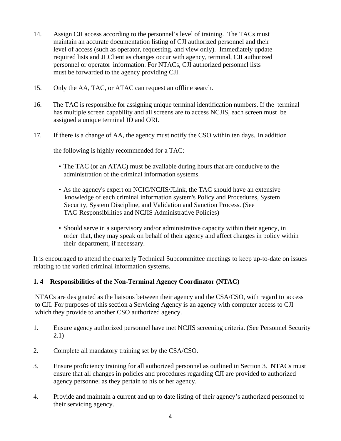- 14. Assign CJI access according to the personnel's level of training. The TACs must maintain an accurate documentation listing of CJI authorized personnel and their level of access (such as operator, requesting, and view only). Immediately update required lists and JLClient as changes occur with agency, terminal, CJI authorized personnel or operator information. For NTACs, CJI authorized personnel lists must be forwarded to the agency providing CJI.
- 15. Only the AA, TAC, or ATAC can request an offline search.
- 16. The TAC is responsible for assigning unique terminal identification numbers. If the terminal has multiple screen capability and all screens are to access NCJIS, each screen must be assigned a unique terminal ID and ORI.
- 17. If there is a change of AA, the agency must notify the CSO within ten days. In addition

the following is highly recommended for a TAC:

- The TAC (or an ATAC) must be available during hours that are conducive to the administration of the criminal information systems.
- As the agency's expert on NCIC/NCJIS/JLink, the TAC should have an extensive knowledge of each criminal information system's Policy and Procedures, System Security, System Discipline, and Validation and Sanction Process. (See TAC Responsibilities and NCJIS Administrative Policies)
- Should serve in a supervisory and/or administrative capacity within their agency, in order that, they may speak on behalf of their agency and affect changes in policy within their department, if necessary.

It is encouraged to attend the quarterly Technical Subcommittee meetings to keep up-to-date on issues relating to the varied criminal information systems.

#### **1. 4 Responsibilities of the Non-Terminal Agency Coordinator (NTAC)**

NTACs are designated as the liaisons between their agency and the CSA/CSO, with regard to access to CJI. For purposes of this section a Servicing Agency is an agency with computer access to CJI which they provide to another CSO authorized agency.

- 1. Ensure agency authorized personnel have met NCJIS screening criteria. (See Personnel Security 2.1)
- 2. Complete all mandatory training set by the CSA/CSO.
- 3. Ensure proficiency training for all authorized personnel as outlined in Section 3. NTACs must ensure that all changes in policies and procedures regarding CJI are provided to authorized agency personnel as they pertain to his or her agency.
- 4. Provide and maintain a current and up to date listing of their agency's authorized personnel to their servicing agency.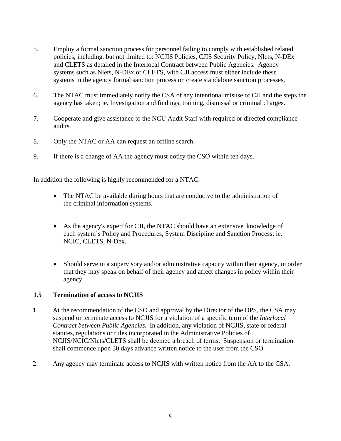- 5. Employ a formal sanction process for personnel failing to comply with established related policies, including, but not limited to: NCJIS Policies, CJIS Security Policy, Nlets, N-DEx and CLETS as detailed in the Interlocal Contract between Public Agencies. Agency systems such as Nlets, N-DEx or CLETS, with CJI access must either include these systems in the agency formal sanction process or create standalone sanction processes.
- 6. The NTAC must immediately notify the CSA of any intentional misuse of CJI and the steps the agency has taken; ie. Investigation and findings, training, dismissal or criminal charges.
- 7. Cooperate and give assistance to the NCU Audit Staff with required or directed compliance audits.
- 8. Only the NTAC or AA can request an offline search.
- 9. If there is a change of AA the agency must notify the CSO within ten days.

In addition the following is highly recommended for a NTAC:

- The NTAC be available during hours that are conducive to the administration of the criminal information systems.
- As the agency's expert for CJI, the NTAC should have an extensive knowledge of each system's Policy and Procedures, System Discipline and Sanction Process; ie. NCIC, CLETS, N-Dex.
- Should serve in a supervisory and/or administrative capacity within their agency, in order that they may speak on behalf of their agency and affect changes in policy within their agency.

#### **1.5 Termination of access to NCJIS**

- 1. At the recommendation of the CSO and approval by the Director of the DPS, the CSA may suspend or terminate access to NCJIS for a violation of a specific term of the *Interlocal Contract between Public Agencies*. In addition, any violation of NCJIS, state or federal statutes, regulations or rules incorporated in the Administrative Policies of NCJIS/NCIC/Nlets/CLETS shall be deemed a breach of terms. Suspension or termination shall commence upon 30 days advance written notice to the user from the CSO.
- 2. Any agency may terminate access to NCJIS with written notice from the AA to the CSA.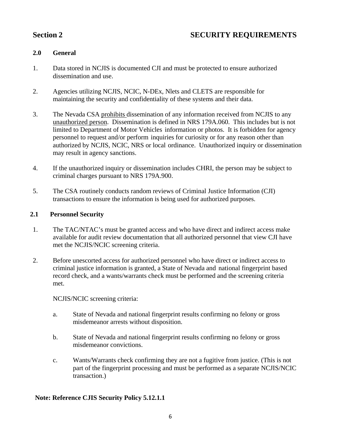# **SECURITY REQUIREMENTS**

### **2.0 General**

- 1. Data stored in NCJIS is documented CJI and must be protected to ensure authorized dissemination and use.
- 2. Agencies utilizing NCJIS, NCIC, N-DEx, Nlets and CLETS are responsible for maintaining the security and confidentiality of these systems and their data.
- 3. The Nevada CSA prohibits dissemination of any information received from NCJIS to any unauthorized person. Dissemination is defined in NRS 179A.060. This includes but is not limited to Department of Motor Vehicles information or photos. It is forbidden for agency personnel to request and/or perform inquiries for curiosity or for any reason other than authorized by NCJIS, NCIC, NRS or local ordinance. Unauthorized inquiry or dissemination may result in agency sanctions.
- 4. If the unauthorized inquiry or dissemination includes CHRI, the person may be subject to criminal charges pursuant to NRS 179A.900.
- 5. The CSA routinely conducts random reviews of Criminal Justice Information (CJI) transactions to ensure the information is being used for authorized purposes.

#### **2.1 Personnel Security**

- 1. The TAC/NTAC's must be granted access and who have direct and indirect access make available for audit review documentation that all authorized personnel that view CJI have met the NCJIS/NCIC screening criteria.
- 2. Before unescorted access for authorized personnel who have direct or indirect access to criminal justice information is granted, a State of Nevada and national fingerprint based record check, and a wants/warrants check must be performed and the screening criteria met.

NCJIS/NCIC screening criteria:

- a. State of Nevada and national fingerprint results confirming no felony or gross misdemeanor arrests without disposition.
- b. State of Nevada and national fingerprint results confirming no felony or gross misdemeanor convictions.
- c. Wants/Warrants check confirming they are not a fugitive from justice. (This is not part of the fingerprint processing and must be performed as a separate NCJIS/NCIC transaction.)

### **Note: Reference CJIS Security Policy 5.12.1.1**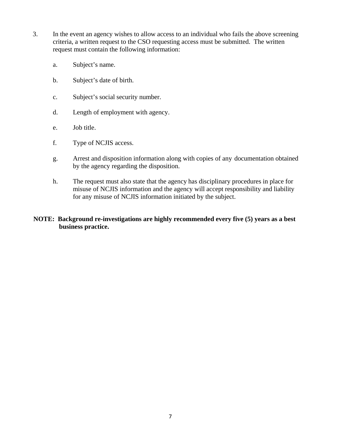- 3. In the event an agency wishes to allow access to an individual who fails the above screening criteria, a written request to the CSO requesting access must be submitted. The written request must contain the following information:
	- a. Subject's name.
	- b. Subject's date of birth.
	- c. Subject's social security number.
	- d. Length of employment with agency.
	- e. Job title.
	- f. Type of NCJIS access.
	- g. Arrest and disposition information along with copies of any documentation obtained by the agency regarding the disposition.
	- h. The request must also state that the agency has disciplinary procedures in place for misuse of NCJIS information and the agency will accept responsibility and liability for any misuse of NCJIS information initiated by the subject.

#### **NOTE: Background re-investigations are highly recommended every five (5) years as a best business practice.**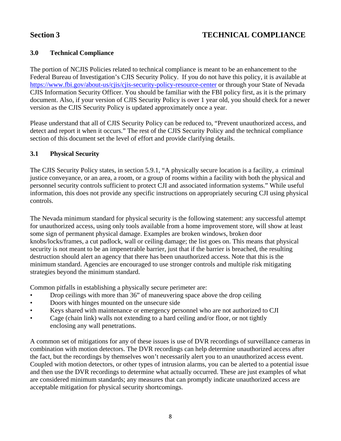# **Section 3 TECHNICAL COMPLIANCE**

### **3.0 Technical Compliance**

The portion of NCJIS Policies related to technical compliance is meant to be an enhancement to the Federal Bureau of Investigation's CJIS Security Policy. If you do not have this policy, it is available at https://www.fbi.gov/about-us/cjis/cjis-security-policy-resource-center or through your State of Nevada CJIS Information Security Officer. You should be familiar with the FBI policy first, as it is the primary document. Also, if your version of CJIS Security Policy is over 1 year old, you should check for a newer version as the CJIS Security Policy is updated approximately once a year.

Please understand that all of CJIS Security Policy can be reduced to, "Prevent unauthorized access, and detect and report it when it occurs." The rest of the CJIS Security Policy and the technical compliance section of this document set the level of effort and provide clarifying details.

#### **3.1 Physical Security**

The CJIS Security Policy states, in section 5.9.1, "A physically secure location is a facility, a criminal justice conveyance, or an area, a room, or a group of rooms within a facility with both the physical and personnel security controls sufficient to protect CJI and associated information systems." While useful information, this does not provide any specific instructions on appropriately securing CJI using physical controls.

The Nevada minimum standard for physical security is the following statement: any successful attempt for unauthorized access, using only tools available from a home improvement store, will show at least some sign of permanent physical damage. Examples are broken windows, broken door knobs/locks/frames, a cut padlock, wall or ceiling damage; the list goes on. This means that physical security is not meant to be an impenetrable barrier, just that if the barrier is breached, the resulting destruction should alert an agency that there has been unauthorized access. Note that this is the minimum standard. Agencies are encouraged to use stronger controls and multiple risk mitigating strategies beyond the minimum standard.

Common pitfalls in establishing a physically secure perimeter are:

- Drop ceilings with more than 36" of maneuvering space above the drop ceiling
- Doors with hinges mounted on the unsecure side
- Keys shared with maintenance or emergency personnel who are not authorized to CJI
- Cage (chain link) walls not extending to a hard ceiling and/or floor, or not tightly enclosing any wall penetrations.

A common set of mitigations for any of these issues is use of DVR recordings of surveillance cameras in combination with motion detectors. The DVR recordings can help determine unauthorized access after the fact, but the recordings by themselves won't necessarily alert you to an unauthorized access event. Coupled with motion detectors, or other types of intrusion alarms, you can be alerted to a potential issue and then use the DVR recordings to determine what actually occurred. These are just examples of what are considered minimum standards; any measures that can promptly indicate unauthorized access are acceptable mitigation for physical security shortcomings.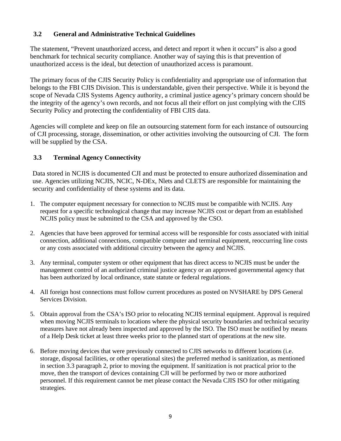### **3.2 General and Administrative Technical Guidelines**

The statement, "Prevent unauthorized access, and detect and report it when it occurs" is also a good benchmark for technical security compliance. Another way of saying this is that prevention of unauthorized access is the ideal, but detection of unauthorized access is paramount.

The primary focus of the CJIS Security Policy is confidentiality and appropriate use of information that belongs to the FBI CJIS Division. This is understandable, given their perspective. While it is beyond the scope of Nevada CJIS Systems Agency authority, a criminal justice agency's primary concern should be the integrity of the agency's own records, and not focus all their effort on just complying with the CJIS Security Policy and protecting the confidentiality of FBI CJIS data.

Agencies will complete and keep on file an outsourcing statement form for each instance of outsourcing of CJI processing, storage, dissemination, or other activities involving the outsourcing of CJI. The form will be supplied by the CSA.

### **3.3 Terminal Agency Connectivity**

Data stored in NCJIS is documented CJI and must be protected to ensure authorized dissemination and use. Agencies utilizing NCJIS, NCIC, N-DEx, Nlets and CLETS are responsible for maintaining the security and confidentiality of these systems and its data.

- 1. The computer equipment necessary for connection to NCJIS must be compatible with NCJIS. Any request for a specific technological change that may increase NCJIS cost or depart from an established NCJIS policy must be submitted to the CSA and approved by the CSO.
- 2. Agencies that have been approved for terminal access will be responsible for costs associated with initial connection, additional connections, compatible computer and terminal equipment, reoccurring line costs or any costs associated with additional circuitry between the agency and NCJIS.
- 3. Any terminal, computer system or other equipment that has direct access to NCJIS must be under the management control of an authorized criminal justice agency or an approved governmental agency that has been authorized by local ordinance, state statute or federal regulations.
- 4. All foreign host connections must follow current procedures as posted on NVSHARE by DPS General Services Division.
- 5. Obtain approval from the CSA's ISO prior to relocating NCJIS terminal equipment. Approval is required when moving NCJIS terminals to locations where the physical security boundaries and technical security measures have not already been inspected and approved by the ISO. The ISO must be notified by means of a Help Desk ticket at least three weeks prior to the planned start of operations at the new site.
- 6. Before moving devices that were previously connected to CJIS networks to different locations (i.e. storage, disposal facilities, or other operational sites) the preferred method is sanitization, as mentioned in section 3.3 paragraph 2, prior to moving the equipment. If sanitization is not practical prior to the move, then the transport of devices containing CJI will be performed by two or more authorized personnel. If this requirement cannot be met please contact the Nevada CJIS ISO for other mitigating strategies.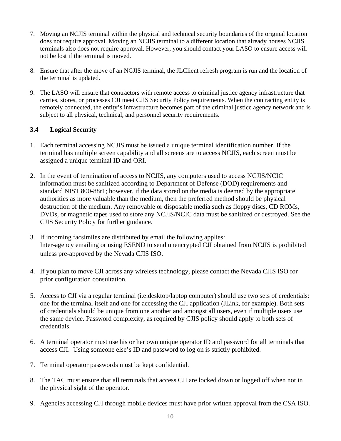- 7. Moving an NCJIS terminal within the physical and technical security boundaries of the original location does not require approval. Moving an NCJIS terminal to a different location that already houses NCJIS terminals also does not require approval. However, you should contact your LASO to ensure access will not be lost if the terminal is moved.
- 8. Ensure that after the move of an NCJIS terminal, the JLClient refresh program is run and the location of the terminal is updated.
- 9. The LASO will ensure that contractors with remote access to criminal justice agency infrastructure that carries, stores, or processes CJI meet CJIS Security Policy requirements. When the contracting entity is remotely connected, the entity's infrastructure becomes part of the criminal justice agency network and is subject to all physical, technical, and personnel security requirements.

### **3.4 Logical Security**

- 1. Each terminal accessing NCJIS must be issued a unique terminal identification number. If the terminal has multiple screen capability and all screens are to access NCJIS, each screen must be assigned a unique terminal ID and ORI.
- 2. In the event of termination of access to NCJIS, any computers used to access NCJIS/NCIC information must be sanitized according to Department of Defense (DOD) requirements and standard NIST 800-88r1; however, if the data stored on the media is deemed by the appropriate authorities as more valuable than the medium, then the preferred method should be physical destruction of the medium. Any removable or disposable media such as floppy discs, CD ROMs, DVDs, or magnetic tapes used to store any NCJIS/NCIC data must be sanitized or destroyed. See the CJIS Security Policy for further guidance.
- 3. If incoming facsimiles are distributed by email the following applies: Inter-agency emailing or using ESEND to send unencrypted CJI obtained from NCJIS is prohibited unless pre-approved by the Nevada CJIS ISO.
- 4. If you plan to move CJI across any wireless technology, please contact the Nevada CJIS ISO for prior configuration consultation.
- 5. Access to CJI via a regular terminal (i.e.desktop/laptop computer) should use two sets of credentials: one for the terminal itself and one for accessing the CJI application (JLink, for example). Both sets of credentials should be unique from one another and amongst all users, even if multiple users use the same device. Password complexity, as required by CJIS policy should apply to both sets of credentials.
- 6. A terminal operator must use his or her own unique operator ID and password for all terminals that access CJI. Using someone else's ID and password to log on is strictly prohibited.
- 7. Terminal operator passwords must be kept confidential.
- 8. The TAC must ensure that all terminals that access CJI are locked down or logged off when not in the physical sight of the operator.
- 9. Agencies accessing CJI through mobile devices must have prior written approval from the CSA ISO.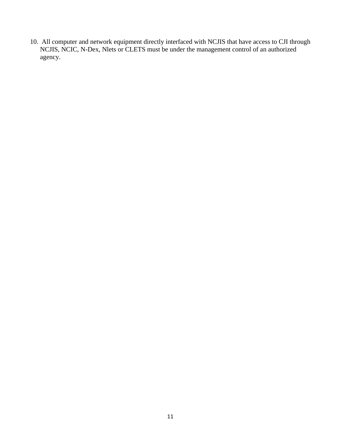10. All computer and network equipment directly interfaced with NCJIS that have access to CJI through NCJIS, NCIC, N-Dex, Nlets or CLETS must be under the management control of an authorized agency.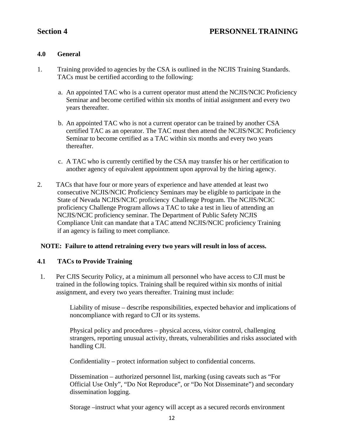# **Section 4 PERSONNEL TRAINING**

#### **4.0 General**

- 1. Training provided to agencies by the CSA is outlined in the NCJIS Training Standards. TACs must be certified according to the following:
	- a. An appointed TAC who is a current operator must attend the NCJIS/NCIC Proficiency Seminar and become certified within six months of initial assignment and every two years thereafter.
	- b. An appointed TAC who is not a current operator can be trained by another CSA certified TAC as an operator. The TAC must then attend the NCJIS/NCIC Proficiency Seminar to become certified as a TAC within six months and every two years thereafter.
	- c. A TAC who is currently certified by the CSA may transfer his or her certification to another agency of equivalent appointment upon approval by the hiring agency.
- 2. TACs that have four or more years of experience and have attended at least two consecutive NCJIS/NCIC Proficiency Seminars may be eligible to participate in the State of Nevada NCJIS/NCIC proficiency Challenge Program. The NCJIS/NCIC proficiency Challenge Program allows a TAC to take a test in lieu of attending an NCJIS/NCIC proficiency seminar. The Department of Public Safety NCJIS Compliance Unit can mandate that a TAC attend NCJIS/NCIC proficiency Training if an agency is failing to meet compliance.

#### **NOTE: Failure to attend retraining every two years will result in loss of access.**

#### **4.1 TACs to Provide Training**

1. Per CJIS Security Policy, at a minimum all personnel who have access to CJI must be trained in the following topics. Training shall be required within six months of initial assignment, and every two years thereafter. Training must include:

> Liability of misuse – describe responsibilities, expected behavior and implications of noncompliance with regard to CJI or its systems.

> Physical policy and procedures – physical access, visitor control, challenging strangers, reporting unusual activity, threats, vulnerabilities and risks associated with handling CJI.

Confidentiality – protect information subject to confidential concerns.

Dissemination – authorized personnel list, marking (using caveats such as "For Official Use Only", "Do Not Reproduce", or "Do Not Disseminate") and secondary dissemination logging.

Storage –instruct what your agency will accept as a secured records environment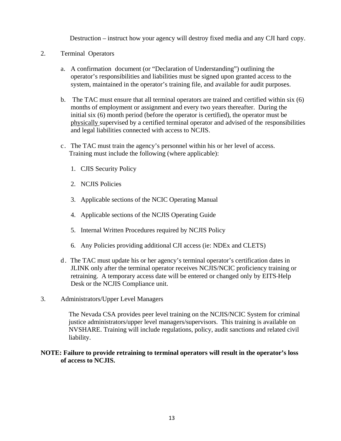Destruction – instruct how your agency will destroy fixed media and any CJI hard copy.

- 2. Terminal Operators
	- a. A confirmation document (or "Declaration of Understanding") outlining the operator's responsibilities and liabilities must be signed upon granted access to the system, maintained in the operator's training file, and available for audit purposes.
	- b. The TAC must ensure that all terminal operators are trained and certified within six (6) months of employment or assignment and every two years thereafter. During the initial six (6) month period (before the operator is certified), the operator must be physically supervised by a certified terminal operator and advised of the responsibilities and legal liabilities connected with access to NCJIS.
	- c. The TAC must train the agency's personnel within his or her level of access. Training must include the following (where applicable):
		- 1. CJIS Security Policy
		- 2. NCJIS Policies
		- 3. Applicable sections of the NCIC Operating Manual
		- 4. Applicable sections of the NCJIS Operating Guide
		- 5. Internal Written Procedures required by NCJIS Policy
		- 6. Any Policies providing additional CJI access (ie: NDEx and CLETS)
	- d. The TAC must update his or her agency's terminal operator's certification dates in JLINK only after the terminal operator receives NCJIS/NCIC proficiency training or retraining. A temporary access date will be entered or changed only by EITS Help Desk or the NCJIS Compliance unit.
- 3. Administrators/Upper Level Managers

The Nevada CSA provides peer level training on the NCJIS/NCIC System for criminal justice administrators/upper level managers/supervisors. This training is available on NVSHARE. Training will include regulations, policy, audit sanctions and related civil liability.

#### **NOTE: Failure to provide retraining to terminal operators will result in the operator's loss of access to NCJIS.**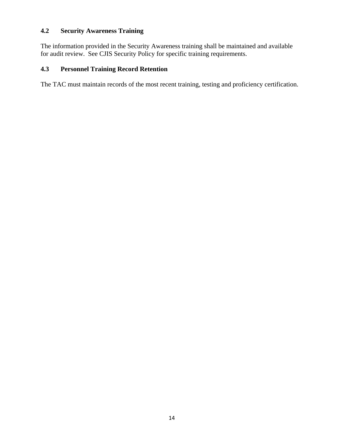### **4.2 Security Awareness Training**

The information provided in the Security Awareness training shall be maintained and available for audit review. See CJIS Security Policy for specific training requirements.

### **4.3 Personnel Training Record Retention**

The TAC must maintain records of the most recent training, testing and proficiency certification.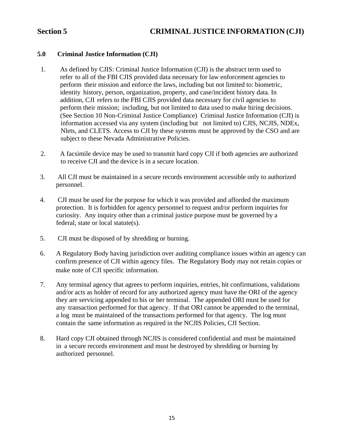#### **5.0 Criminal Justice Information (CJI)**

- 1. As defined by CJIS: Criminal Justice Information (CJI) is the abstract term used to refer to all of the FBI CJIS provided data necessary for law enforcement agencies to perform their mission and enforce the laws, including but not limited to: biometric, identity history, person, organization, property, and case/incident history data. In addition, CJI refers to the FBI CJIS provided data necessary for civil agencies to perform their mission; including, but not limited to data used to make hiring decisions. (See Section 10 Non-Criminal Justice Compliance) Criminal Justice Information (CJI) is information accessed via any system (including but not limited to) CJIS, NCJIS, NDEx, Nlets, and CLETS. Access to CJI by these systems must be approved by the CSO and are subject to these Nevada Administrative Policies.
- 2. A facsimile device may be used to transmit hard copy CJI if both agencies are authorized to receive CJI and the device is in a secure location.
- 3. All CJI must be maintained in a secure records environment accessible only to authorized personnel.
- 4. CJI must be used for the purpose for which it was provided and afforded the maximum protection. It is forbidden for agency personnel to request and/or perform inquiries for curiosity. Any inquiry other than a criminal justice purpose must be governed by a federal, state or local statute(s).
- 5. CJI must be disposed of by shredding or burning.
- 6. A Regulatory Body having jurisdiction over auditing compliance issues within an agency can confirm presence of CJI within agency files. The Regulatory Body may not retain copies or make note of CJI specific information.
- 7. Any terminal agency that agrees to perform inquiries, entries, hit confirmations, validations and/or acts as holder of record for any authorized agency must have the ORI of the agency they are servicing appended to his or her terminal. The appended ORI must be used for any transaction performed for that agency. If that ORI cannot be appended to the terminal, a log must be maintained of the transactions performed for that agency. The log must contain the same information as required in the NCJIS Policies, CJI Section.
- 8. Hard copy CJI obtained through NCJIS is considered confidential and must be maintained in a secure records environment and must be destroyed by shredding or burning by authorized personnel.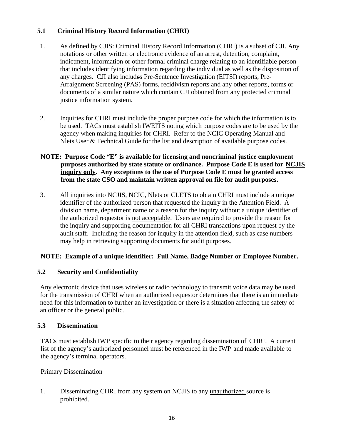### **5.1 Criminal History Record Information (CHRI)**

- 1. As defined by CJIS: Criminal History Record Information (CHRI) is a subset of CJI. Any notations or other written or electronic evidence of an arrest, detention, complaint, indictment, information or other formal criminal charge relating to an identifiable person that includes identifying information regarding the individual as well as the disposition of any charges. CJI also includes Pre-Sentence Investigation (EITSI) reports, Pre-Arraignment Screening (PAS) forms, recidivism reports and any other reports, forms or documents of a similar nature which contain CJI obtained from any protected criminal justice information system*.*
- 2. Inquiries for CHRI must include the proper purpose code for which the information is to be used. TACs must establish IWEITS noting which purpose codes are to be used by the agency when making inquiries for CHRI. Refer to the NCIC Operating Manual and Nlets User & Technical Guide for the list and description of available purpose codes.

#### **NOTE: Purpose Code "E" is available for licensing and noncriminal justice employment purposes authorized by state statute or ordinance. Purpose Code E is used for NCJIS inquiry only. Any exceptions to the use of Purpose Code E must be granted access from the state CSO and maintain written approval on file for audit purposes.**

3. All inquiries into NCJIS, NCIC, Nlets or CLETS to obtain CHRI must include a unique identifier of the authorized person that requested the inquiry in the Attention Field. A division name, department name or a reason for the inquiry without a unique identifier of the authorized requestor is not acceptable. Users are required to provide the reason for the inquiry and supporting documentation for all CHRI transactions upon request by the audit staff. Including the reason for inquiry in the attention field, such as case numbers may help in retrieving supporting documents for audit purposes.

#### **NOTE: Example of a unique identifier: Full Name, Badge Number or Employee Number.**

#### **5.2 Security and Confidentiality**

Any electronic device that uses wireless or radio technology to transmit voice data may be used for the transmission of CHRI when an authorized requestor determines that there is an immediate need for this information to further an investigation or there is a situation affecting the safety of an officer or the general public.

#### **5.3 Dissemination**

TACs must establish IWP specific to their agency regarding dissemination of CHRI. A current list of the agency's authorized personnel must be referenced in the IWP and made available to the agency's terminal operators.

#### Primary Dissemination

1. Disseminating CHRI from any system on NCJIS to any unauthorized source is prohibited.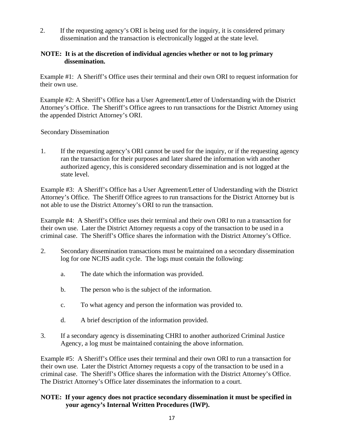2. If the requesting agency's ORI is being used for the inquiry, it is considered primary dissemination and the transaction is electronically logged at the state level.

#### **NOTE: It is at the discretion of individual agencies whether or not to log primary dissemination.**

Example #1: A Sheriff's Office uses their terminal and their own ORI to request information for their own use.

Example #2: A Sheriff's Office has a User Agreement/Letter of Understanding with the District Attorney's Office. The Sheriff's Office agrees to run transactions for the District Attorney using the appended District Attorney's ORI.

Secondary Dissemination

1. If the requesting agency's ORI cannot be used for the inquiry, or if the requesting agency ran the transaction for their purposes and later shared the information with another authorized agency, this is considered secondary dissemination and is not logged at the state level.

Example #3: A Sheriff's Office has a User Agreement/Letter of Understanding with the District Attorney's Office. The Sheriff Office agrees to run transactions for the District Attorney but is not able to use the District Attorney's ORI to run the transaction.

Example #4: A Sheriff's Office uses their terminal and their own ORI to run a transaction for their own use. Later the District Attorney requests a copy of the transaction to be used in a criminal case. The Sheriff's Office shares the information with the District Attorney's Office.

- 2. Secondary dissemination transactions must be maintained on a secondary dissemination log for one NCJIS audit cycle. The logs must contain the following:
	- a. The date which the information was provided.
	- b. The person who is the subject of the information.
	- c. To what agency and person the information was provided to.
	- d. A brief description of the information provided.
- 3. If a secondary agency is disseminating CHRI to another authorized Criminal Justice Agency, a log must be maintained containing the above information.

Example #5: A Sheriff's Office uses their terminal and their own ORI to run a transaction for their own use. Later the District Attorney requests a copy of the transaction to be used in a criminal case. The Sheriff's Office shares the information with the District Attorney's Office. The District Attorney's Office later disseminates the information to a court.

### **NOTE: If your agency does not practice secondary dissemination it must be specified in your agency's Internal Written Procedures (IWP).**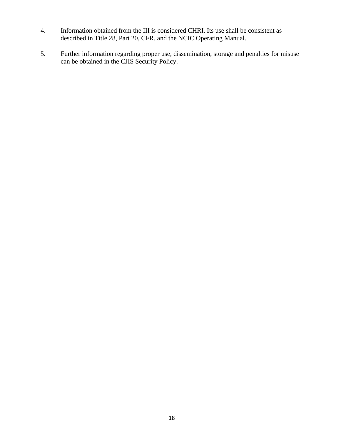- 4. Information obtained from the III is considered CHRI. Its use shall be consistent as described in Title 28, Part 20, CFR, and the NCIC Operating Manual.
- 5. Further information regarding proper use, dissemination, storage and penalties for misuse can be obtained in the CJIS Security Policy.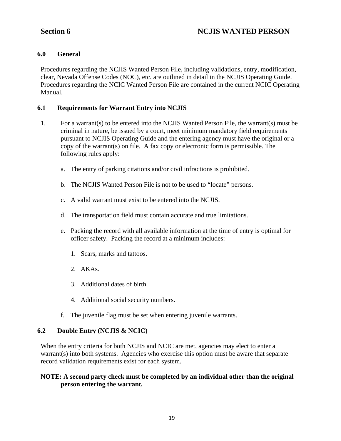# **Section 6 NCJIS WANTED PERSON**

#### **6.0 General**

Procedures regarding the NCJIS Wanted Person File, including validations, entry, modification, clear, Nevada Offense Codes (NOC), etc. are outlined in detail in the NCJIS Operating Guide. Procedures regarding the NCIC Wanted Person File are contained in the current NCIC Operating Manual.

#### **6.1 Requirements for Warrant Entry into NCJIS**

- 1. For a warrant(s) to be entered into the NCJIS Wanted Person File, the warrant(s) must be criminal in nature, be issued by a court, meet minimum mandatory field requirements pursuant to NCJIS Operating Guide and the entering agency must have the original or a copy of the warrant(s) on file. A fax copy or electronic form is permissible. The following rules apply:
	- a. The entry of parking citations and/or civil infractions is prohibited.
	- b. The NCJIS Wanted Person File is not to be used to "locate" persons.
	- c. A valid warrant must exist to be entered into the NCJIS.
	- d. The transportation field must contain accurate and true limitations.
	- e. Packing the record with all available information at the time of entry is optimal for officer safety. Packing the record at a minimum includes:
		- 1. Scars, marks and tattoos.
		- 2. AKAs.
		- 3. Additional dates of birth.
		- 4. Additional social security numbers.
	- f. The juvenile flag must be set when entering juvenile warrants.

#### **6.2 Double Entry (NCJIS & NCIC)**

When the entry criteria for both NCJIS and NCIC are met, agencies may elect to enter a warrant(s) into both systems. Agencies who exercise this option must be aware that separate record validation requirements exist for each system.

#### **NOTE: A second party check must be completed by an individual other than the original person entering the warrant.**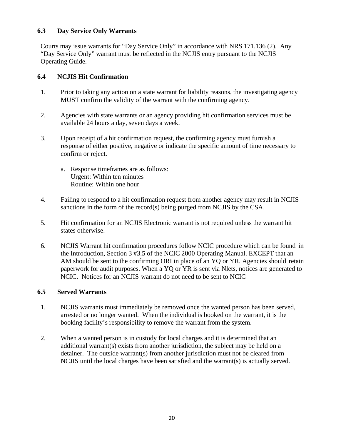#### **6.3 Day Service Only Warrants**

Courts may issue warrants for "Day Service Only" in accordance with NRS 171.136 (2). Any "Day Service Only" warrant must be reflected in the NCJIS entry pursuant to the NCJIS Operating Guide.

### **6.4 NCJIS Hit Confirmation**

- 1. Prior to taking any action on a state warrant for liability reasons, the investigating agency MUST confirm the validity of the warrant with the confirming agency.
- 2. Agencies with state warrants or an agency providing hit confirmation services must be available 24 hours a day, seven days a week.
- 3. Upon receipt of a hit confirmation request, the confirming agency must furnish a response of either positive, negative or indicate the specific amount of time necessary to confirm or reject.
	- a. Response timeframes are as follows: Urgent: Within ten minutes Routine: Within one hour
- 4. Failing to respond to a hit confirmation request from another agency may result in NCJIS sanctions in the form of the record(s) being purged from NCJIS by the CSA.
- 5. Hit confirmation for an NCJIS Electronic warrant is not required unless the warrant hit states otherwise.
- 6. NCJIS Warrant hit confirmation procedures follow NCIC procedure which can be found in the Introduction, Section 3 #3.5 of the NCIC 2000 Operating Manual. EXCEPT that an AM should be sent to the confirming ORI in place of an YQ or YR. Agencies should retain paperwork for audit purposes. When a YQ or YR is sent via Nlets, notices are generated to NCIC. Notices for an NCJIS warrant do not need to be sent to NCIC

#### **6.5 Served Warrants**

- 1. NCJIS warrants must immediately be removed once the wanted person has been served, arrested or no longer wanted. When the individual is booked on the warrant, it is the booking facility's responsibility to remove the warrant from the system.
- 2. When a wanted person is in custody for local charges and it is determined that an additional warrant(s) exists from another jurisdiction, the subject may be held on a detainer. The outside warrant(s) from another jurisdiction must not be cleared from NCJIS until the local charges have been satisfied and the warrant(s) is actually served.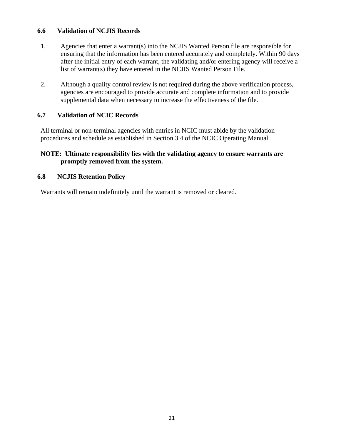#### **6.6 Validation of NCJIS Records**

- 1. Agencies that enter a warrant(s) into the NCJIS Wanted Person file are responsible for ensuring that the information has been entered accurately and completely. Within 90 days after the initial entry of each warrant, the validating and/or entering agency will receive a list of warrant(s) they have entered in the NCJIS Wanted Person File.
- 2. Although a quality control review is not required during the above verification process, agencies are encouraged to provide accurate and complete information and to provide supplemental data when necessary to increase the effectiveness of the file.

#### **6.7 Validation of NCIC Records**

All terminal or non-terminal agencies with entries in NCIC must abide by the validation procedures and schedule as established in Section 3.4 of the NCIC Operating Manual.

#### **NOTE: Ultimate responsibility lies with the validating agency to ensure warrants are promptly removed from the system.**

#### **6.8 NCJIS Retention Policy**

Warrants will remain indefinitely until the warrant is removed or cleared.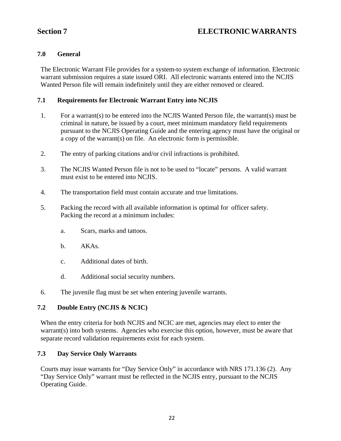# **Section 7 ELECTRONIC WARRANTS**

#### **7.0 General**

The Electronic Warrant File provides for a system-to system exchange of information. Electronic warrant submission requires a state issued ORI. All electronic warrants entered into the NCJIS Wanted Person file will remain indefinitely until they are either removed or cleared.

#### **7.1 Requirements for Electronic Warrant Entry into NCJIS**

- 1. For a warrant(s) to be entered into the NCJIS Wanted Person file, the warrant(s) must be criminal in nature, be issued by a court, meet minimum mandatory field requirements pursuant to the NCJIS Operating Guide and the entering agency must have the original or a copy of the warrant(s) on file. An electronic form is permissible.
- 2. The entry of parking citations and/or civil infractions is prohibited.
- 3. The NCJIS Wanted Person file is not to be used to "locate" persons. A valid warrant must exist to be entered into NCJIS.
- 4. The transportation field must contain accurate and true limitations.
- 5. Packing the record with all available information is optimal for officer safety. Packing the record at a minimum includes:
	- a. Scars, marks and tattoos.
	- b. AKAs.
	- c. Additional dates of birth.
	- d. Additional social security numbers.
- 6. The juvenile flag must be set when entering juvenile warrants.

#### **7.2 Double Entry (NCJIS & NCIC)**

When the entry criteria for both NCJIS and NCIC are met, agencies may elect to enter the warrant(s) into both systems. Agencies who exercise this option, however, must be aware that separate record validation requirements exist for each system.

#### **7.3 Day Service Only Warrants**

Courts may issue warrants for "Day Service Only" in accordance with NRS 171.136 (2). Any "Day Service Only" warrant must be reflected in the NCJIS entry, pursuant to the NCJIS Operating Guide.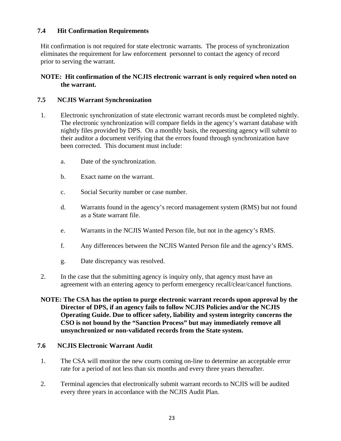#### **7.4 Hit Confirmation Requirements**

Hit confirmation is not required for state electronic warrants. The process of synchronization eliminates the requirement for law enforcement personnel to contact the agency of record prior to serving the warrant.

#### **NOTE: Hit confirmation of the NCJIS electronic warrant is only required when noted on the warrant.**

#### **7.5 NCJIS Warrant Synchronization**

- 1. Electronic synchronization of state electronic warrant records must be completed nightly. The electronic synchronization will compare fields in the agency's warrant database with nightly files provided by DPS. On a monthly basis, the requesting agency will submit to their auditor a document verifying that the errors found through synchronization have been corrected. This document must include:
	- a. Date of the synchronization.
	- b. Exact name on the warrant.
	- c. Social Security number or case number.
	- d. Warrants found in the agency's record management system (RMS) but not found as a State warrant file.
	- e. Warrants in the NCJIS Wanted Person file, but not in the agency's RMS.
	- f. Any differences between the NCJIS Wanted Person file and the agency's RMS.
	- g. Date discrepancy was resolved.
- 2. In the case that the submitting agency is inquiry only, that agency must have an agreement with an entering agency to perform emergency recall/clear/cancel functions.

#### **NOTE: The CSA has the option to purge electronic warrant records upon approval by the Director of DPS, if an agency fails to follow NCJIS Policies and/or the NCJIS Operating Guide. Due to officer safety, liability and system integrity concerns the CSO is not bound by the "Sanction Process" but may immediately remove all unsynchronized or non-validated records from the State system.**

#### **7.6 NCJIS Electronic Warrant Audit**

- 1. The CSA will monitor the new courts coming on-line to determine an acceptable error rate for a period of not less than six months and every three years thereafter.
- 2. Terminal agencies that electronically submit warrant records to NCJIS will be audited every three years in accordance with the NCJIS Audit Plan.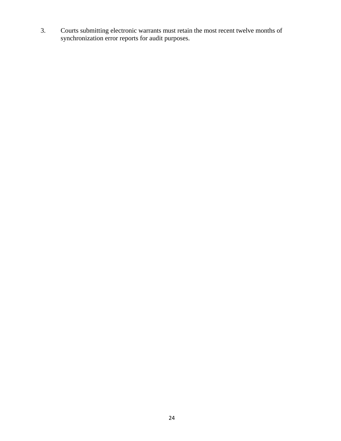3. Courts submitting electronic warrants must retain the most recent twelve months of synchronization error reports for audit purposes.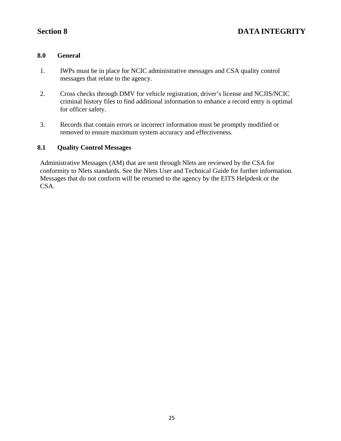# **Section 8 DATA INTEGRITY**

#### **8.0 General**

- 1. IWPs must be in place for NCIC administrative messages and CSA quality control messages that relate to the agency.
- 2. Cross checks through DMV for vehicle registration, driver's license and NCJIS/NCIC criminal history files to find additional information to enhance a record entry is optimal for officer safety.
- 3. Records that contain errors or incorrect information must be promptly modified or removed to ensure maximum system accuracy and effectiveness.

#### **8.1 Quality Control Messages**

Administrative Messages (AM) that are sent through Nlets are reviewed by the CSA for conformity to Nlets standards. See the Nlets User and Technical Guide for further information. Messages that do not conform will be returned to the agency by the EITS Helpdesk or the CSA.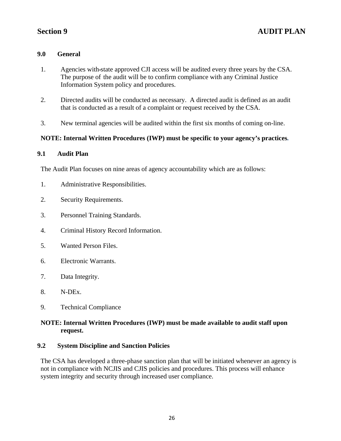#### **9.0 General**

- 1. Agencies with state approved CJI access will be audited every three years by the CSA. The purpose of the audit will be to confirm compliance with any Criminal Justice Information System policy and procedures.
- 2. Directed audits will be conducted as necessary. A directed audit is defined as an audit that is conducted as a result of a complaint or request received by the CSA.
- 3. New terminal agencies will be audited within the first six months of coming on-line.

### **NOTE: Internal Written Procedures (IWP) must be specific to your agency's practices***.*

#### **9.1 Audit Plan**

The Audit Plan focuses on nine areas of agency accountability which are as follows:

- 1. Administrative Responsibilities.
- 2. Security Requirements.
- 3. Personnel Training Standards.
- 4. Criminal History Record Information.
- 5. Wanted Person Files.
- 6. Electronic Warrants.
- 7. Data Integrity.
- 8. N-DEx.
- 9. Technical Compliance

### **NOTE: Internal Written Procedures (IWP) must be made available to audit staff upon request.**

#### **9.2 System Discipline and Sanction Policies**

The CSA has developed a three-phase sanction plan that will be initiated whenever an agency is not in compliance with NCJIS and CJIS policies and procedures. This process will enhance system integrity and security through increased user compliance.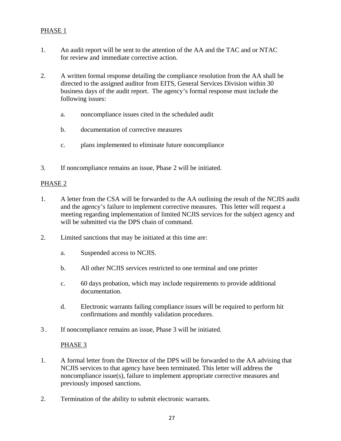#### PHASE 1

- 1. An audit report will be sent to the attention of the AA and the TAC and or NTAC for review and immediate corrective action.
- 2. A written formal response detailing the compliance resolution from the AA shall be directed to the assigned auditor from EITS, General Services Division within 30 business days of the audit report. The agency's formal response must include the following issues:
	- a. noncompliance issues cited in the scheduled audit
	- b. documentation of corrective measures
	- c. plans implemented to eliminate future noncompliance
- 3. If noncompliance remains an issue, Phase 2 will be initiated.

#### PHASE 2

- 1. A letter from the CSA will be forwarded to the AA outlining the result of the NCJIS audit and the agency's failure to implement corrective measures. This letter will request a meeting regarding implementation of limited NCJIS services for the subject agency and will be submitted via the DPS chain of command.
- 2. Limited sanctions that may be initiated at this time are:
	- a. Suspended access to NCJIS.
	- b. All other NCJIS services restricted to one terminal and one printer
	- c. 60 days probation, which may include requirements to provide additional documentation.
	- d. Electronic warrants failing compliance issues will be required to perform hit confirmations and monthly validation procedures.
- 3 . If noncompliance remains an issue, Phase 3 will be initiated.

#### PHASE<sub>3</sub>

- 1. A formal letter from the Director of the DPS will be forwarded to the AA advising that NCJIS services to that agency have been terminated. This letter will address the noncompliance issue(s), failure to implement appropriate corrective measures and previously imposed sanctions.
- 2. Termination of the ability to submit electronic warrants.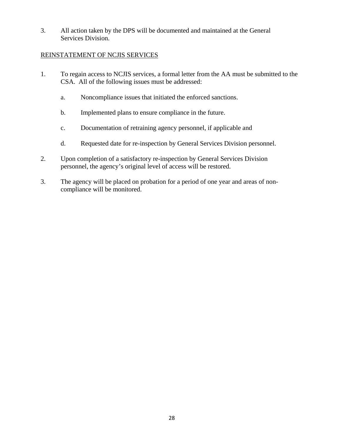3. All action taken by the DPS will be documented and maintained at the General Services Division.

#### REINSTATEMENT OF NCJIS SERVICES

- 1. To regain access to NCJIS services, a formal letter from the AA must be submitted to the CSA. All of the following issues must be addressed:
	- a. Noncompliance issues that initiated the enforced sanctions.
	- b. Implemented plans to ensure compliance in the future.
	- c. Documentation of retraining agency personnel, if applicable and
	- d. Requested date for re-inspection by General Services Division personnel.
- 2. Upon completion of a satisfactory re-inspection by General Services Division personnel, the agency's original level of access will be restored.
- 3. The agency will be placed on probation for a period of one year and areas of noncompliance will be monitored.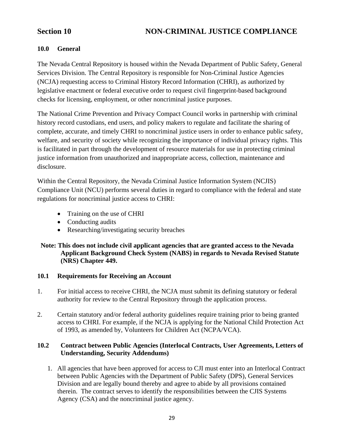### **10.0 General**

The Nevada Central Repository is housed within the Nevada Department of Public Safety, General Services Division. The Central Repository is responsible for Non-Criminal Justice Agencies (NCJA) requesting access to Criminal History Record Information (CHRI), as authorized by legislative enactment or federal executive order to request civil fingerprint-based background checks for licensing, employment, or other noncriminal justice purposes.

The National Crime Prevention and Privacy Compact Council works in partnership with criminal history record custodians, end users, and policy makers to regulate and facilitate the sharing of complete, accurate, and timely CHRI to noncriminal justice users in order to enhance public safety, welfare, and security of society while recognizing the importance of individual privacy rights. This is facilitated in part through the development of resource materials for use in protecting criminal justice information from unauthorized and inappropriate access, collection, maintenance and disclosure.

Within the Central Repository, the Nevada Criminal Justice Information System (NCJIS) Compliance Unit (NCU) performs several duties in regard to compliance with the federal and state regulations for noncriminal justice access to CHRI:

- Training on the use of CHRI
- Conducting audits
- Researching/investigating security breaches

#### **Note: This does not include civil applicant agencies that are granted access to the Nevada Applicant Background Check System (NABS) in regards to Nevada Revised Statute (NRS) Chapter 449.**

#### **10.1 Requirements for Receiving an Account**

- 1. For initial access to receive CHRI, the NCJA must submit its defining statutory or federal authority for review to the Central Repository through the application process.
- 2. Certain statutory and/or federal authority guidelines require training prior to being granted access to CHRI. For example, if the NCJA is applying for the National Child Protection Act of 1993, as amended by, Volunteers for Children Act (NCPA/VCA).

### **10.2 Contract between Public Agencies (Interlocal Contracts, User Agreements, Letters of Understanding, Security Addendums)**

1. All agencies that have been approved for access to CJI must enter into an Interlocal Contract between Public Agencies with the Department of Public Safety (DPS), General Services Division and are legally bound thereby and agree to abide by all provisions contained therein. The contract serves to identify the responsibilities between the CJIS Systems Agency (CSA) and the noncriminal justice agency.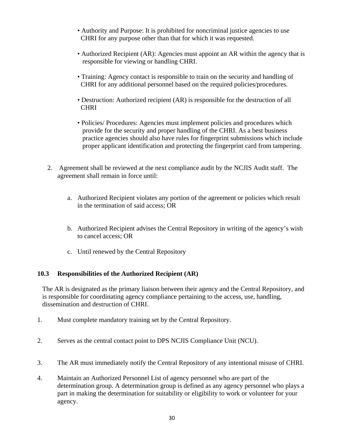- Authority and Purpose: It is prohibited for noncriminal justice agencies to use CHRI for any purpose other than that for which it was requested.
- Authorized Recipient (AR): Agencies must appoint an AR within the agency that is responsible for viewing or handling CHRI.
- Training: Agency contact is responsible to train on the security and handling of CHRI for any additional personnel based on the required policies/procedures.
- Destruction: Authorized recipient (AR) is responsible for the destruction of all **CHRI**
- Policies/ Procedures: Agencies must implement policies and procedures which provide for the security and proper handling of the CHRI. As a best business practice agencies should also have rules for fingerprint submissions which include proper applicant identification and protecting the fingerprint card from tampering.
- 2. Agreement shall be reviewed at the next compliance audit by the NCJIS Audit staff. The agreement shall remain in force until:
	- a. Authorized Recipient violates any portion of the agreement or policies which result in the termination of said access; OR
	- b. Authorized Recipient advises the Central Repository in writing of the agency's wish to cancel access; OR
	- c. Until renewed by the Central Repository

#### **10.3 Responsibilities of the Authorized Recipient (AR)**

The AR is designated as the primary liaison between their agency and the Central Repository, and is responsible for coordinating agency compliance pertaining to the access, use, handling, dissemination and destruction of CHRI.

- 1. Must complete mandatory training set by the Central Repository.
- 2. Serves as the central contact point to DPS NCJIS Compliance Unit (NCU).
- 3. The AR must immediately notify the Central Repository of any intentional misuse of CHRI.
- 4. Maintain an Authorized Personnel List of agency personnel who are part of the determination group. A determination group is defined as any agency personnel who plays a part in making the determination for suitability or eligibility to work or volunteer for your agency.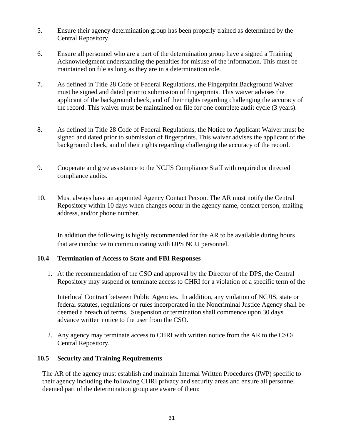- 5. Ensure their agency determination group has been properly trained as determined by the Central Repository.
- 6. Ensure all personnel who are a part of the determination group have a signed a Training Acknowledgment understanding the penalties for misuse of the information. This must be maintained on file as long as they are in a determination role.
- 7. As defined in Title 28 Code of Federal Regulations, the Fingerprint Background Waiver must be signed and dated prior to submission of fingerprints. This waiver advises the applicant of the background check, and of their rights regarding challenging the accuracy of the record. This waiver must be maintained on file for one complete audit cycle (3 years).
- 8. As defined in Title 28 Code of Federal Regulations, the Notice to Applicant Waiver must be signed and dated prior to submission of fingerprints. This waiver advises the applicant of the background check, and of their rights regarding challenging the accuracy of the record.
- 9. Cooperate and give assistance to the NCJIS Compliance Staff with required or directed compliance audits.
- 10. Must always have an appointed Agency Contact Person. The AR must notify the Central Repository within 10 days when changes occur in the agency name, contact person, mailing address, and/or phone number.

In addition the following is highly recommended for the AR to be available during hours that are conducive to communicating with DPS NCU personnel.

#### **10.4 Termination of Access to State and FBI Responses**

1. At the recommendation of the CSO and approval by the Director of the DPS, the Central Repository may suspend or terminate access to CHRI for a violation of a specific term of the

Interlocal Contract between Public Agencies. In addition, any violation of NCJIS, state or federal statutes, regulations or rules incorporated in the Noncriminal Justice Agency shall be deemed a breach of terms. Suspension or termination shall commence upon 30 days advance written notice to the user from the CSO.

2. Any agency may terminate access to CHRI with written notice from the AR to the CSO/ Central Repository.

#### **10.5 Security and Training Requirements**

The AR of the agency must establish and maintain Internal Written Procedures (IWP) specific to their agency including the following CHRI privacy and security areas and ensure all personnel deemed part of the determination group are aware of them: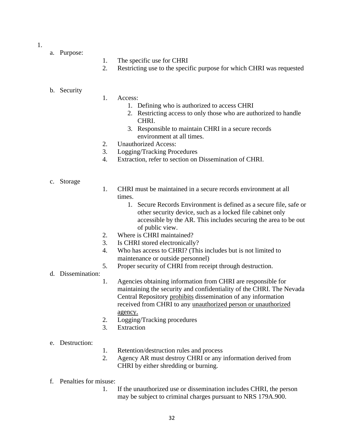1.

- a. Purpose:
- 1. The specific use for CHRI
- 2. Restricting use to the specific purpose for which CHRI was requested

#### b. Security

#### 1. Access:

- 1. Defining who is authorized to access CHRI
- 2. Restricting access to only those who are authorized to handle CHRI.
- 3. Responsible to maintain CHRI in a secure records environment at all times.
- 2. Unauthorized Access:
- 3. Logging/Tracking Procedures
- 4. Extraction, refer to section on Dissemination of CHRI.

#### c. Storage

- 1. CHRI must be maintained in a secure records environment at all times.
	- 1. Secure Records Environment is defined as a secure file, safe or other security device, such as a locked file cabinet only accessible by the AR. This includes securing the area to be out of public view.
- 2. Where is CHRI maintained?
- 3. Is CHRI stored electronically?
- 4. Who has access to CHRI? (This includes but is not limited to maintenance or outside personnel)
- 5. Proper security of CHRI from receipt through destruction.
- d. Dissemination:
	- 1. Agencies obtaining information from CHRI are responsible for maintaining the security and confidentiality of the CHRI. The Nevada Central Repository prohibits dissemination of any information received from CHRI to any unauthorized person or unauthorized agency.
	- 2. Logging/Tracking procedures
	- 3. Extraction

#### e. Destruction:

- 1. Retention/destruction rules and process
- 2. Agency AR must destroy CHRI or any information derived from CHRI by either shredding or burning.
- f. Penalties for misuse:
	- 1. If the unauthorized use or dissemination includes CHRI, the person may be subject to criminal charges pursuant to NRS 179A.900.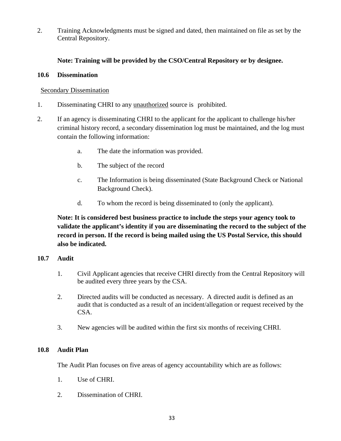2. Training Acknowledgments must be signed and dated, then maintained on file as set by the Central Repository.

#### **Note: Training will be provided by the CSO/Central Repository or by designee.**

#### **10.6 Dissemination**

#### Secondary Dissemination

- 1. Disseminating CHRI to any unauthorized source is prohibited.
- 2. If an agency is disseminating CHRI to the applicant for the applicant to challenge his/her criminal history record, a secondary dissemination log must be maintained, and the log must contain the following information:
	- a. The date the information was provided.
	- b. The subject of the record
	- c. The Information is being disseminated (State Background Check or National Background Check).
	- d. To whom the record is being disseminated to (only the applicant).

**Note: It is considered best business practice to include the steps your agency took to validate the applicant's identity if you are disseminating the record to the subject of the record in person. If the record is being mailed using the US Postal Service, this should also be indicated.** 

#### **10.7 Audit**

- 1. Civil Applicant agencies that receive CHRI directly from the Central Repository will be audited every three years by the CSA.
- 2. Directed audits will be conducted as necessary. A directed audit is defined as an audit that is conducted as a result of an incident/allegation or request received by the CSA.
- 3. New agencies will be audited within the first six months of receiving CHRI.

### **10.8 Audit Plan**

The Audit Plan focuses on five areas of agency accountability which are as follows:

- 1. Use of CHRI.
- 2. Dissemination of CHRI.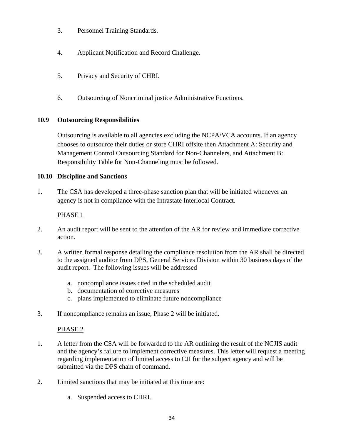- 3. Personnel Training Standards.
- 4. Applicant Notification and Record Challenge.
- 5. Privacy and Security of CHRI.
- 6. Outsourcing of Noncriminal justice Administrative Functions.

#### **10.9 Outsourcing Responsibilities**

Outsourcing is available to all agencies excluding the NCPA/VCA accounts. If an agency chooses to outsource their duties or store CHRI offsite then Attachment A: Security and Management Control Outsourcing Standard for Non-Channelers, and Attachment B: Responsibility Table for Non-Channeling must be followed.

#### **10.10 Discipline and Sanctions**

1. The CSA has developed a three-phase sanction plan that will be initiated whenever an agency is not in compliance with the Intrastate Interlocal Contract.

### PHASE 1

- 2. An audit report will be sent to the attention of the AR for review and immediate corrective action.
- 3. A written formal response detailing the compliance resolution from the AR shall be directed to the assigned auditor from DPS, General Services Division within 30 business days of the audit report. The following issues will be addressed
	- a. noncompliance issues cited in the scheduled audit
	- b. documentation of corrective measures
	- c. plans implemented to eliminate future noncompliance
- 3. If noncompliance remains an issue, Phase 2 will be initiated.

#### PHASE<sub>2</sub>

- 1. A letter from the CSA will be forwarded to the AR outlining the result of the NCJIS audit and the agency's failure to implement corrective measures. This letter will request a meeting regarding implementation of limited access to CJI for the subject agency and will be submitted via the DPS chain of command.
- 2. Limited sanctions that may be initiated at this time are:
	- a. Suspended access to CHRI.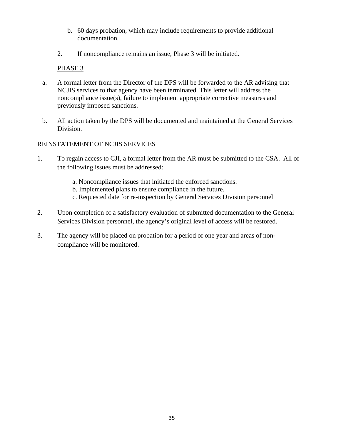- b. 60 days probation, which may include requirements to provide additional documentation.
- 2. If noncompliance remains an issue, Phase 3 will be initiated.

### PHASE 3

- a. A formal letter from the Director of the DPS will be forwarded to the AR advising that NCJIS services to that agency have been terminated. This letter will address the noncompliance issue(s), failure to implement appropriate corrective measures and previously imposed sanctions.
- b. All action taken by the DPS will be documented and maintained at the General Services Division.

### REINSTATEMENT OF NCJIS SERVICES

- 1. To regain access to CJI, a formal letter from the AR must be submitted to the CSA. All of the following issues must be addressed:
	- a. Noncompliance issues that initiated the enforced sanctions.
	- b. Implemented plans to ensure compliance in the future.
	- c. Requested date for re-inspection by General Services Division personnel
- 2. Upon completion of a satisfactory evaluation of submitted documentation to the General Services Division personnel, the agency's original level of access will be restored.
- 3. The agency will be placed on probation for a period of one year and areas of noncompliance will be monitored.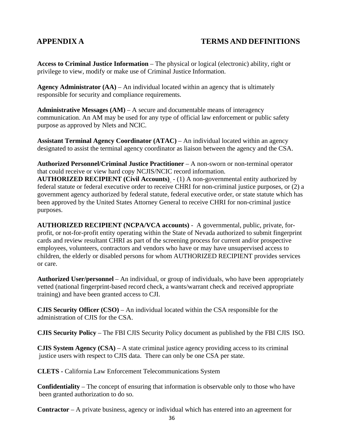### **APPENDIX A TERMS AND DEFINITIONS**

**Access to Criminal Justice Information** – The physical or logical (electronic) ability, right or privilege to view, modify or make use of Criminal Justice Information.

**Agency Administrator (AA)** – An individual located within an agency that is ultimately responsible for security and compliance requirements.

**Administrative Messages**  $(AM)$  **– A secure and documentable means of interagency** communication. An AM may be used for any type of official law enforcement or public safety purpose as approved by Nlets and NCIC.

**Assistant Terminal Agency Coordinator (ATAC) – An individual located within an agency** designated to assist the terminal agency coordinator as liaison between the agency and the CSA.

**Authorized Personnel/Criminal Justice Practitioner** – A non-sworn or non-terminal operator that could receive or view hard copy NCJIS/NCIC record information.

**AUTHORIZED RECIPIENT (Civil Accounts)** - (1) A non-governmental entity authorized by federal statute or federal executive order to receive CHRI for non-criminal justice purposes, or (2) a government agency authorized by federal statute, federal executive order, or state statute which has been approved by the United States Attorney General to receive CHRI for non-criminal justice purposes.

**AUTHORIZED RECIPIENT (NCPA/VCA accounts)** - A governmental, public, private, forprofit, or not-for-profit entity operating within the State of Nevada authorized to submit fingerprint cards and review resultant CHRI as part of the screening process for current and/or prospective employees, volunteers, contractors and vendors who have or may have unsupervised access to children, the elderly or disabled persons for whom AUTHORIZED RECIPIENT provides services or care.

**Authorized User/personnel** – An individual, or group of individuals, who have been appropriately vetted (national fingerprint-based record check, a wants/warrant check and received appropriate training) and have been granted access to CJI.

**CJIS Security Officer (CSO)** – An individual located within the CSA responsible for the administration of CJIS for the CSA.

**CJIS Security Policy** – The FBI CJIS Security Policy document as published by the FBI CJIS ISO.

**CJIS System Agency (CSA)** – A state criminal justice agency providing access to its criminal justice users with respect to CJIS data. There can only be one CSA per state.

**CLETS -** California Law Enforcement Telecommunications System

**Confidentiality** – The concept of ensuring that information is observable only to those who have been granted authorization to do so.

**Contractor** – A private business, agency or individual which has entered into an agreement for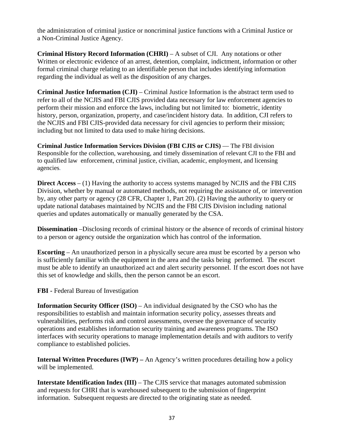the administration of criminal justice or noncriminal justice functions with a Criminal Justice or a Non-Criminal Justice Agency.

**Criminal History Record Information (CHRI)** – A subset of CJI. Any notations or other Written or electronic evidence of an arrest, detention, complaint, indictment, information or other formal criminal charge relating to an identifiable person that includes identifying information regarding the individual as well as the disposition of any charges.

**Criminal Justice Information (CJI)** – Criminal Justice Information is the abstract term used to refer to all of the NCJIS and FBI CJIS provided data necessary for law enforcement agencies to perform their mission and enforce the laws, including but not limited to: biometric, identity history, person, organization, property, and case/incident history data. In addition, CJI refers to the NCJIS and FBI CJIS-provided data necessary for civil agencies to perform their mission; including but not limited to data used to make hiring decisions.

**Criminal Justice Information Services Division (FBI CJIS or CJIS)** — The FBI division Responsible for the collection, warehousing, and timely dissemination of relevant CJI to the FBI and to qualified law enforcement, criminal justice, civilian, academic, employment, and licensing agencies*.*

**Direct Access** – (1) Having the authority to access systems managed by NCJIS and the FBI CJIS Division, whether by manual or automated methods, not requiring the assistance of, or intervention by, any other party or agency (28 CFR, Chapter 1, Part 20). (2) Having the authority to query or update national databases maintained by NCJIS and the FBI CJIS Division including national queries and updates automatically or manually generated by the CSA.

**Dissemination** –Disclosing records of criminal history or the absence of records of criminal history to a person or agency outside the organization which has control of the information.

**Escorting** – An unauthorized person in a physically secure area must be escorted by a person who is sufficiently familiar with the equipment in the area and the tasks being performed. The escort must be able to identify an unauthorized act and alert security personnel. If the escort does not have this set of knowledge and skills, then the person cannot be an escort.

**FBI -** Federal Bureau of Investigation

**Information Security Officer (ISO)** – An individual designated by the CSO who has the responsibilities to establish and maintain information security policy, assesses threats and vulnerabilities, performs risk and control assessments, oversee the governance of security operations and establishes information security training and awareness programs. The ISO interfaces with security operations to manage implementation details and with auditors to verify compliance to established policies.

**Internal Written Procedures (IWP)** – An Agency's written procedures detailing how a policy will be implemented.

**Interstate Identification Index (III)** – The CJIS service that manages automated submission and requests for CHRI that is warehoused subsequent to the submission of fingerprint information. Subsequent requests are directed to the originating state as needed.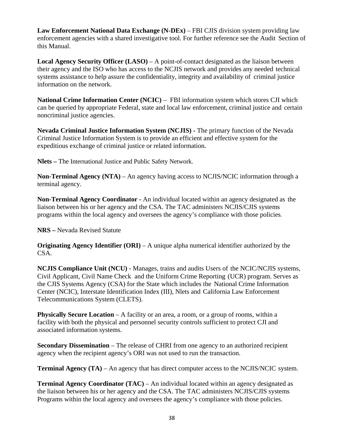**Law Enforcement National Data Exchange (N-DEx)** – FBI CJIS division system providing law enforcement agencies with a shared investigative tool. For further reference see the Audit Section of this Manual.

Local Agency Security Officer (LASO) – A point-of-contact designated as the liaison between their agency and the ISO who has access to the NCJIS network and provides any needed technical systems assistance to help assure the confidentiality, integrity and availability of criminal justice information on the network.

**National Crime Information Center (NCIC) – FBI** information system which stores CJI which can be queried by appropriate Federal, state and local law enforcement, criminal justice and certain noncriminal justice agencies.

**Nevada Criminal Justice Information System (NCJIS) -** The primary function of the Nevada Criminal Justice Information System is to provide an efficient and effective system for the expeditious exchange of criminal justice or related information.

**Nlets –** The International Justice and Public Safety Network.

**Non-Terminal Agency (NTA)** – An agency having access to NCJIS/NCIC information through a terminal agency.

**Non-Terminal Agency Coordinator -** An individual located within an agency designated as the liaison between his or her agency and the CSA. The TAC administers NCJIS/CJIS systems programs within the local agency and oversees the agency's compliance with those policies*.* 

**NRS –** Nevada Revised Statute

**Originating Agency Identifier (ORI)** – A unique alpha numerical identifier authorized by the CSA.

**NCJIS Compliance Unit (NCU)** - Manages, trains and audits Users of the NCIC/NCJIS systems, Civil Applicant, Civil Name Check and the Uniform Crime Reporting (UCR) program. Serves as the CJIS Systems Agency (CSA) for the State which includes the National Crime Information Center (NCIC), Interstate Identification Index (III), Nlets and California Law Enforcement Telecommunications System (CLETS).

**Physically Secure Location** – A facility or an area, a room, or a group of rooms, within a facility with both the physical and personnel security controls sufficient to protect CJI and associated information systems.

**Secondary Dissemination** – The release of CHRI from one agency to an authorized recipient agency when the recipient agency's ORI was not used to run the transaction.

**Terminal Agency (TA)** – An agency that has direct computer access to the NCJIS/NCIC system.

**Terminal Agency Coordinator (TAC) – An individual located within an agency designated as** the liaison between his or her agency and the CSA. The TAC administers NCJIS/CJIS systems Programs within the local agency and oversees the agency's compliance with those policies.